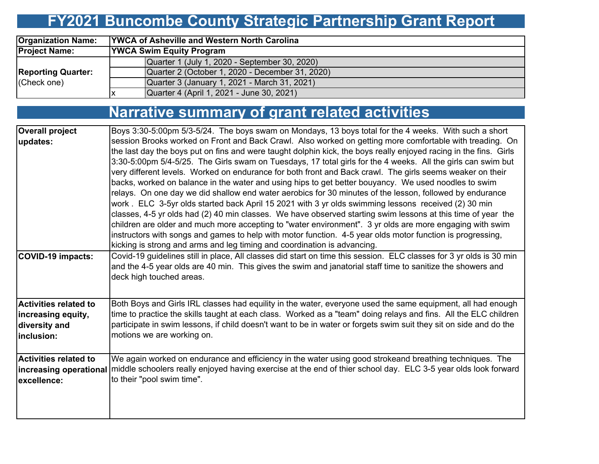# **FY2021 Buncombe County Strategic Partnership Grant Report**

| <b>Organization Name:</b>                | <b>YWCA of Asheville and Western North Carolina</b> |  |  |  |  |  |  |  |  |
|------------------------------------------|-----------------------------------------------------|--|--|--|--|--|--|--|--|
| <b>Project Name:</b>                     | <b>YWCA Swim Equity Program</b>                     |  |  |  |  |  |  |  |  |
| <b>Reporting Quarter:</b><br>(Check one) | Quarter 1 (July 1, 2020 - September 30, 2020)       |  |  |  |  |  |  |  |  |
|                                          | Quarter 2 (October 1, 2020 - December 31, 2020)     |  |  |  |  |  |  |  |  |
|                                          | Quarter 3 (January 1, 2021 - March 31, 2021)        |  |  |  |  |  |  |  |  |
|                                          | Quarter 4 (April 1, 2021 - June 30, 2021)           |  |  |  |  |  |  |  |  |

# **Narrative summary of grant related activities**

| <b>Overall project</b>       | Boys 3:30-5:00pm 5/3-5/24. The boys swam on Mondays, 13 boys total for the 4 weeks. With such a short                                 |
|------------------------------|---------------------------------------------------------------------------------------------------------------------------------------|
| updates:                     | session Brooks worked on Front and Back Crawl. Also worked on getting more comfortable with treading. On                              |
|                              | the last day the boys put on fins and were taught dolphin kick, the boys really enjoyed racing in the fins. Girls                     |
|                              | 3:30-5:00pm 5/4-5/25. The Girls swam on Tuesdays, 17 total girls for the 4 weeks. All the girls can swim but                          |
|                              | very different levels. Worked on endurance for both front and Back crawl. The girls seems weaker on their                             |
|                              | backs, worked on balance in the water and using hips to get better bouyancy. We used noodles to swim                                  |
|                              | relays. On one day we did shallow end water aerobics for 30 minutes of the lesson, followed by endurance                              |
|                              | work. ELC 3-5yr olds started back April 15 2021 with 3 yr olds swimming lessons received (2) 30 min                                   |
|                              | classes, 4-5 yr olds had (2) 40 min classes. We have observed starting swim lessons at this time of year the                          |
|                              | children are older and much more accepting to "water environment". 3 yr olds are more engaging with swim                              |
|                              | instructors with songs and games to help with motor function. 4-5 year olds motor function is progressing,                            |
|                              | kicking is strong and arms and leg timing and coordination is advancing.                                                              |
| COVID-19 impacts:            | Covid-19 guidelines still in place, All classes did start on time this session. ELC classes for 3 yr olds is 30 min                   |
|                              | and the 4-5 year olds are 40 min. This gives the swim and janatorial staff time to sanitize the showers and                           |
|                              | deck high touched areas.                                                                                                              |
|                              |                                                                                                                                       |
| <b>Activities related to</b> | Both Boys and Girls IRL classes had equility in the water, everyone used the same equipment, all had enough                           |
| increasing equity,           | time to practice the skills taught at each class. Worked as a "team" doing relays and fins. All the ELC children                      |
| diversity and                | participate in swim lessons, if child doesn't want to be in water or forgets swim suit they sit on side and do the                    |
| inclusion:                   | motions we are working on.                                                                                                            |
|                              |                                                                                                                                       |
| <b>Activities related to</b> | We again worked on endurance and efficiency in the water using good strokeand breathing techniques. The                               |
|                              | increasing operational middle schoolers really enjoyed having exercise at the end of thier school day. ELC 3-5 year olds look forward |
| excellence:                  | to their "pool swim time".                                                                                                            |
|                              |                                                                                                                                       |
|                              |                                                                                                                                       |
|                              |                                                                                                                                       |
|                              |                                                                                                                                       |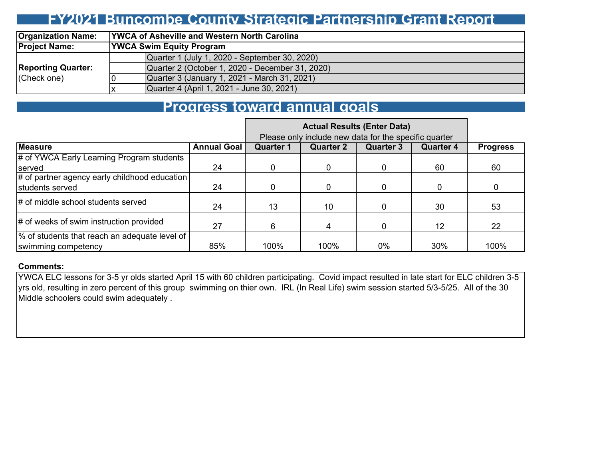## **FY2021 Buncombe County Strategic Partnership Grant Report**

| <b>Organization Name:</b> |    | <b>YWCA of Asheville and Western North Carolina</b> |  |  |  |  |  |  |  |  |
|---------------------------|----|-----------------------------------------------------|--|--|--|--|--|--|--|--|
| <b>Project Name:</b>      |    | <b>YWCA Swim Equity Program</b>                     |  |  |  |  |  |  |  |  |
|                           |    | Quarter 1 (July 1, 2020 - September 30, 2020)       |  |  |  |  |  |  |  |  |
| <b>Reporting Quarter:</b> |    | Quarter 2 (October 1, 2020 - December 31, 2020)     |  |  |  |  |  |  |  |  |
| (Check one)               |    | Quarter 3 (January 1, 2021 - March 31, 2021)        |  |  |  |  |  |  |  |  |
|                           | ΙX | Quarter 4 (April 1, 2021 - June 30, 2021)           |  |  |  |  |  |  |  |  |

### **Progress toward annual goals**

|                                               |                    | Please only include new data for the specific quarter |                  |                  |                  |                 |
|-----------------------------------------------|--------------------|-------------------------------------------------------|------------------|------------------|------------------|-----------------|
| <b>Measure</b>                                | <b>Annual Goal</b> | <b>Quarter 1</b>                                      | <b>Quarter 2</b> | <b>Quarter 3</b> | <b>Quarter 4</b> | <b>Progress</b> |
| # of YWCA Early Learning Program students     |                    |                                                       |                  |                  |                  |                 |
| served                                        | 24                 |                                                       |                  |                  | 60               | 60              |
| # of partner agency early childhood education |                    |                                                       |                  |                  |                  |                 |
| students served                               | 24                 |                                                       |                  | 0                | O                |                 |
| # of middle school students served            | 24                 | 13                                                    | 10               |                  | 30               | 53              |
| # of weeks of swim instruction provided       | 27                 | 6                                                     |                  | 0                | 12               | 22              |
| % of students that reach an adequate level of |                    |                                                       |                  |                  |                  |                 |
| swimming competency                           | 85%                | 100%                                                  | 100%             | 0%               | 30%              | 100%            |

#### **Comments:**

YWCA ELC lessons for 3-5 yr olds started April 15 with 60 children participating. Covid impact resulted in late start for ELC children 3-5 yrs old, resulting in zero percent of this group swimming on thier own. IRL (In Real Life) swim session started 5/3-5/25. All of the 30 Middle schoolers could swim adequately .